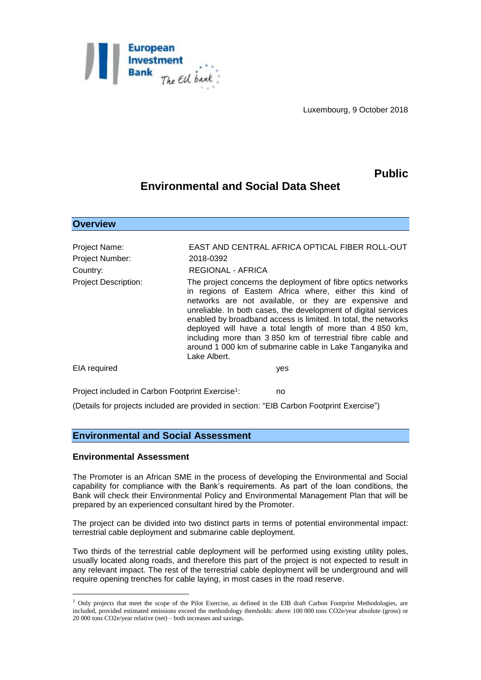

Luxembourg, 9 October 2018

## **Public**

# **Environmental and Social Data Sheet**

**Overview**

| <b>Project Name:</b>        | EAST AND CENTRAL AFRICA OPTICAL FIBER ROLL-OUT                                                                                                                                                                                                                                                                                                                                                                                                                                                                               |
|-----------------------------|------------------------------------------------------------------------------------------------------------------------------------------------------------------------------------------------------------------------------------------------------------------------------------------------------------------------------------------------------------------------------------------------------------------------------------------------------------------------------------------------------------------------------|
| <b>Project Number:</b>      | 2018-0392                                                                                                                                                                                                                                                                                                                                                                                                                                                                                                                    |
| Country:                    | <b>REGIONAL - AFRICA</b>                                                                                                                                                                                                                                                                                                                                                                                                                                                                                                     |
| <b>Project Description:</b> | The project concerns the deployment of fibre optics networks<br>in regions of Eastern Africa where, either this kind of<br>networks are not available, or they are expensive and<br>unreliable. In both cases, the development of digital services<br>enabled by broadband access is limited. In total, the networks<br>deployed will have a total length of more than 4 850 km,<br>including more than 3 850 km of terrestrial fibre cable and<br>around 1 000 km of submarine cable in Lake Tanganyika and<br>Lake Albert. |
| EIA required                | yes                                                                                                                                                                                                                                                                                                                                                                                                                                                                                                                          |
|                             |                                                                                                                                                                                                                                                                                                                                                                                                                                                                                                                              |

Project included in Carbon Footprint Exercise<sup>1</sup>: : no

(Details for projects included are provided in section: "EIB Carbon Footprint Exercise")

#### **Environmental and Social Assessment**

#### **Environmental Assessment**

<u>.</u>

The Promoter is an African SME in the process of developing the Environmental and Social capability for compliance with the Bank's requirements. As part of the loan conditions, the Bank will check their Environmental Policy and Environmental Management Plan that will be prepared by an experienced consultant hired by the Promoter.

The project can be divided into two distinct parts in terms of potential environmental impact: terrestrial cable deployment and submarine cable deployment.

Two thirds of the terrestrial cable deployment will be performed using existing utility poles, usually located along roads, and therefore this part of the project is not expected to result in any relevant impact. The rest of the terrestrial cable deployment will be underground and will require opening trenches for cable laying, in most cases in the road reserve.

 $1$  Only projects that meet the scope of the Pilot Exercise, as defined in the EIB draft Carbon Footprint Methodologies, are included, provided estimated emissions exceed the methodology thresholds: above 100 000 tons CO2e/year absolute (gross) or 20 000 tons CO2e/year relative (net) – both increases and savings.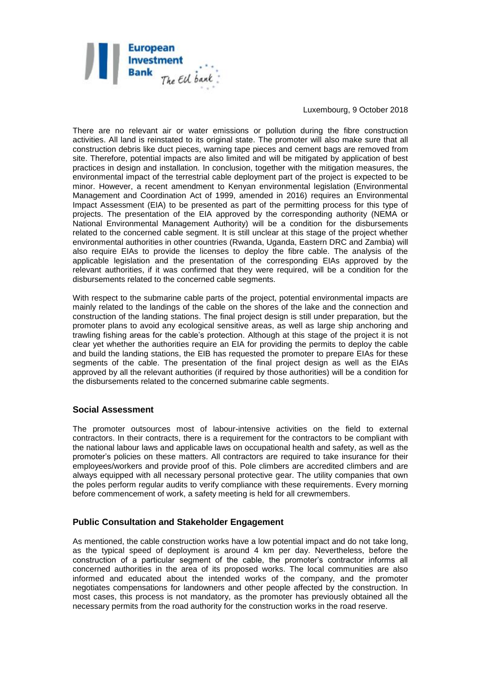

Luxembourg, 9 October 2018

There are no relevant air or water emissions or pollution during the fibre construction activities. All land is reinstated to its original state. The promoter will also make sure that all construction debris like duct pieces, warning tape pieces and cement bags are removed from site. Therefore, potential impacts are also limited and will be mitigated by application of best practices in design and installation. In conclusion, together with the mitigation measures, the environmental impact of the terrestrial cable deployment part of the project is expected to be minor. However, a recent amendment to Kenyan environmental legislation (Environmental Management and Coordination Act of 1999, amended in 2016) requires an Environmental Impact Assessment (EIA) to be presented as part of the permitting process for this type of projects. The presentation of the EIA approved by the corresponding authority (NEMA or National Environmental Management Authority) will be a condition for the disbursements related to the concerned cable segment. It is still unclear at this stage of the project whether environmental authorities in other countries (Rwanda, Uganda, Eastern DRC and Zambia) will also require EIAs to provide the licenses to deploy the fibre cable. The analysis of the applicable legislation and the presentation of the corresponding EIAs approved by the relevant authorities, if it was confirmed that they were required, will be a condition for the disbursements related to the concerned cable segments.

With respect to the submarine cable parts of the project, potential environmental impacts are mainly related to the landings of the cable on the shores of the lake and the connection and construction of the landing stations. The final project design is still under preparation, but the promoter plans to avoid any ecological sensitive areas, as well as large ship anchoring and trawling fishing areas for the cable's protection. Although at this stage of the project it is not clear yet whether the authorities require an EIA for providing the permits to deploy the cable and build the landing stations, the EIB has requested the promoter to prepare EIAs for these segments of the cable. The presentation of the final project design as well as the EIAs approved by all the relevant authorities (if required by those authorities) will be a condition for the disbursements related to the concerned submarine cable segments.

### **Social Assessment**

The promoter outsources most of labour-intensive activities on the field to external contractors. In their contracts, there is a requirement for the contractors to be compliant with the national labour laws and applicable laws on occupational health and safety, as well as the promoter's policies on these matters. All contractors are required to take insurance for their employees/workers and provide proof of this. Pole climbers are accredited climbers and are always equipped with all necessary personal protective gear. The utility companies that own the poles perform regular audits to verify compliance with these requirements. Every morning before commencement of work, a safety meeting is held for all crewmembers.

#### **Public Consultation and Stakeholder Engagement**

As mentioned, the cable construction works have a low potential impact and do not take long, as the typical speed of deployment is around 4 km per day. Nevertheless, before the construction of a particular segment of the cable, the promoter's contractor informs all concerned authorities in the area of its proposed works. The local communities are also informed and educated about the intended works of the company, and the promoter negotiates compensations for landowners and other people affected by the construction. In most cases, this process is not mandatory, as the promoter has previously obtained all the necessary permits from the road authority for the construction works in the road reserve.